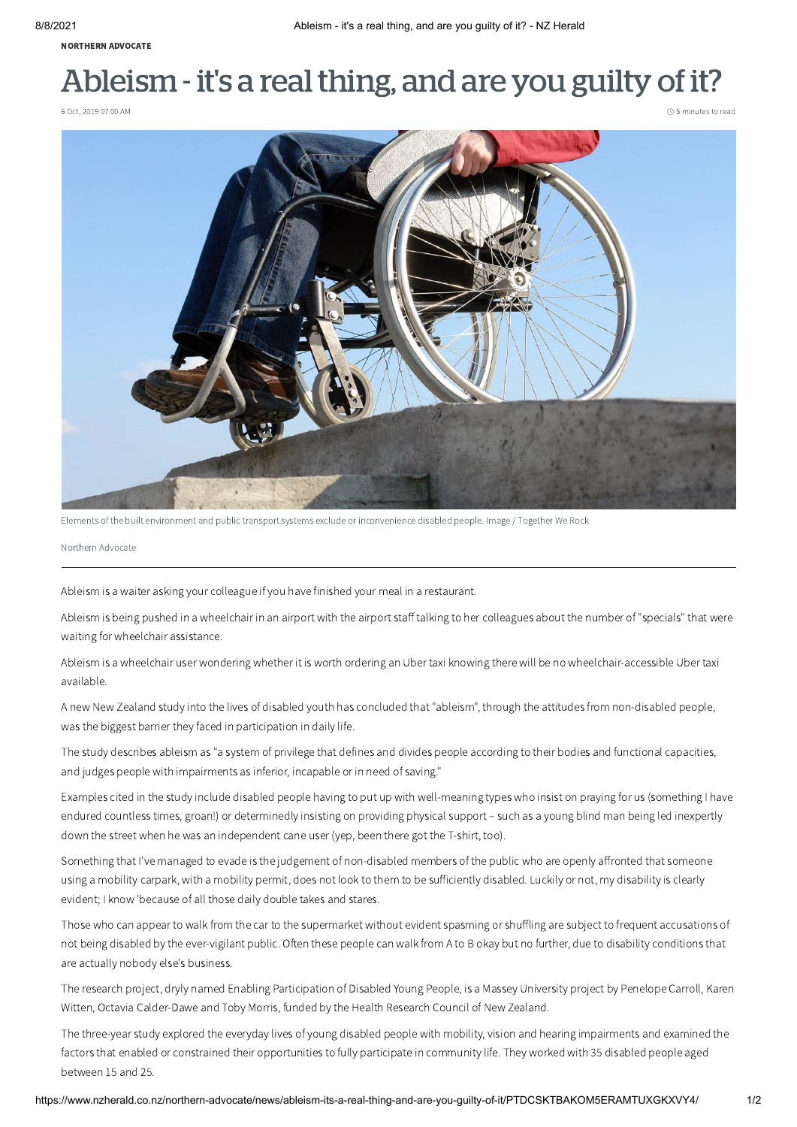[NORTHERN](https://www.nzherald.co.nz/northern-advocate/news/) ADVOCATE

## Ableism - it's a real thing, and are you guilty of it?

6 Oct, 2019 07:00 AM 6 minutes to read



Elements of the built environment and public transport systems exclude or inconvenience disabled people. Image / Together We Rock

Northern Advocate

Ableism is a waiter asking your colleague if you have finished your meal in a restaurant.

Ableism is being pushed in a wheelchair in an airport with the airport staff talking to her colleagues about the number of "specials" that were waiting for wheelchair assistance.

Ableism is a wheelchair user wondering whether it is worth ordering an Uber taxi knowing there will be no wheelchair-accessible Uber taxi available.

A new New Zealand study into the lives of disabled youth has concluded that "ableism", through the attitudes from non-disabled people, was the biggest barrier they faced in participation in daily life.

The study describes ableism as "a system of privilege that defines and divides people according to their bodies and functional capacities, and judges people with impairments as inferior, incapable or in need of saving."

Examples cited in the study include disabled people having to put up with well-meaning types who insist on praying for us (something I have endured countless times, groan!) or determinedly insisting on providing physical support – such as a young blind man being led inexpertly down the street when he was an independent cane user (yep, been there got the T-shirt, too).

Something that I've managed to evade is the judgement of non-disabled members of the public who are openly affronted that someone using a mobility carpark, with a mobility permit, does not look to them to be sufficiently disabled. Luckily or not, my disability is clearly evident; I know 'because of all those daily double takes and stares.

Those who can appear to walk from the car to the supermarket without evident spasming or shuffling are subject to frequent accusations of not being disabled by the ever-vigilant public. Often these people can walk from A to B okay but no further, due to disability conditions that are actually nobody else's business.

The research project, dryly named Enabling Participation of Disabled Young People, is a Massey University project by Penelope Carroll, Karen Witten, Octavia Calder-Dawe and Toby Morris, funded by the Health Research Council of New Zealand.

The three-year study explored the everyday lives of young disabled people with mobility, vision and hearing impairments and examined the factors that enabled or constrained their opportunities to fully participate in community life. They worked with 35 disabled people aged between 15 and 25.